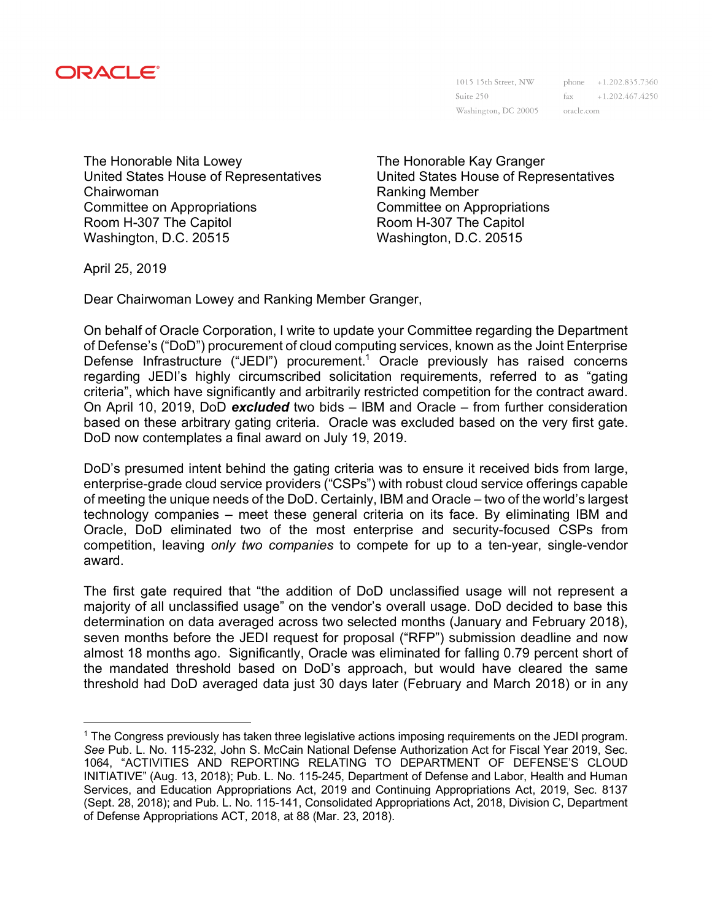

Suite 250 Washington, DC 20005

1015 15th Street, NW phone +1.202.835.7360  $\text{fax}$  +1.202.467.4250 oracle.com

The Honorable Nita Lowey United States House of Representatives Chairwoman Committee on Appropriations Room H-307 The Capitol Washington, D.C. 20515

The Honorable Kay Granger United States House of Representatives Ranking Member Committee on Appropriations Room H-307 The Capitol Washington, D.C. 20515

April 25, 2019

 $\overline{a}$ 

Dear Chairwoman Lowey and Ranking Member Granger,

On behalf of Oracle Corporation, I write to update your Committee regarding the Department of Defense's ("DoD") procurement of cloud computing services, known as the Joint Enterprise Defense Infrastructure ("JEDI") procurement.<sup>1</sup> Oracle previously has raised concerns regarding JEDI's highly circumscribed solicitation requirements, referred to as "gating criteria", which have significantly and arbitrarily restricted competition for the contract award. On April 10, 2019, DoD *excluded* two bids – IBM and Oracle – from further consideration based on these arbitrary gating criteria. Oracle was excluded based on the very first gate. DoD now contemplates a final award on July 19, 2019.

DoD's presumed intent behind the gating criteria was to ensure it received bids from large, enterprise-grade cloud service providers ("CSPs") with robust cloud service offerings capable of meeting the unique needs of the DoD. Certainly, IBM and Oracle – two of the world's largest technology companies – meet these general criteria on its face. By eliminating IBM and Oracle, DoD eliminated two of the most enterprise and security-focused CSPs from competition, leaving *only two companies* to compete for up to a ten-year, single-vendor award.

The first gate required that "the addition of DoD unclassified usage will not represent a majority of all unclassified usage" on the vendor's overall usage. DoD decided to base this determination on data averaged across two selected months (January and February 2018), seven months before the JEDI request for proposal ("RFP") submission deadline and now almost 18 months ago. Significantly, Oracle was eliminated for falling 0.79 percent short of the mandated threshold based on DoD's approach, but would have cleared the same threshold had DoD averaged data just 30 days later (February and March 2018) or in any

<sup>1</sup> The Congress previously has taken three legislative actions imposing requirements on the JEDI program. *See* Pub. L. No. 115-232, John S. McCain National Defense Authorization Act for Fiscal Year 2019, Sec. 1064, "ACTIVITIES AND REPORTING RELATING TO DEPARTMENT OF DEFENSE'S CLOUD INITIATIVE" (Aug. 13, 2018); Pub. L. No. 115-245, Department of Defense and Labor, Health and Human Services, and Education Appropriations Act, 2019 and Continuing Appropriations Act, 2019, Sec. 8137 (Sept. 28, 2018); and Pub. L. No. 115-141, Consolidated Appropriations Act, 2018, Division C, Department of Defense Appropriations ACT, 2018, at 88 (Mar. 23, 2018).